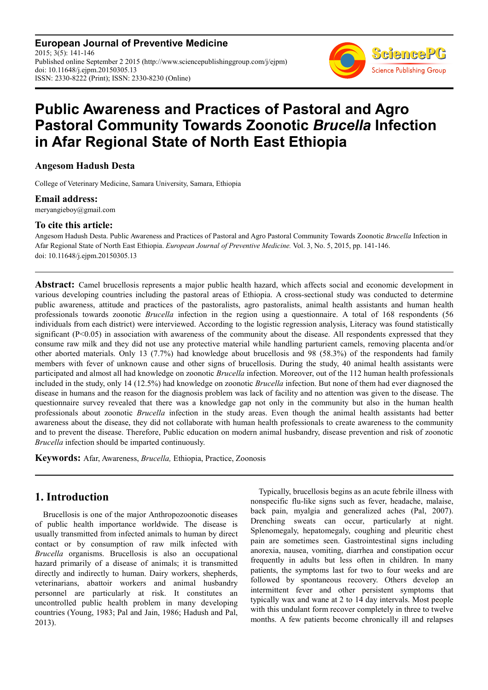**European Journal of Preventive Medicine** 2015; 3(5): 141-146 Published online September 2 2015 (http://www.sciencepublishinggroup.com/j/ejpm) doi: 10.11648/j.ejpm.20150305.13 ISSN: 2330-8222 (Print); ISSN: 2330-8230 (Online)



# **Public Awareness and Practices of Pastoral and Agro Pastoral Community Towards Zoonotic** *Brucella* **Infection in Afar Regional State of North East Ethiopia**

## **Angesom Hadush Desta**

College of Veterinary Medicine, Samara University, Samara, Ethiopia

#### **Email address:**

meryangieboy@gmail.com

## **To cite this article:**

Angesom Hadush Desta. Public Awareness and Practices of Pastoral and Agro Pastoral Community Towards Zoonotic *Brucella* Infection in Afar Regional State of North East Ethiopia. *European Journal of Preventive Medicine.* Vol. 3, No. 5, 2015, pp. 141-146. doi: 10.11648/j.ejpm.20150305.13

**Abstract:** Camel brucellosis represents a major public health hazard, which affects social and economic development in various developing countries including the pastoral areas of Ethiopia. A cross-sectional study was conducted to determine public awareness, attitude and practices of the pastoralists, agro pastoralists, animal health assistants and human health professionals towards zoonotic *Brucella* infection in the region using a questionnaire. A total of 168 respondents (56 individuals from each district) were interviewed. According to the logistic regression analysis, Literacy was found statistically significant  $(P<0.05)$  in association with awareness of the community about the disease. All respondents expressed that they consume raw milk and they did not use any protective material while handling parturient camels, removing placenta and/or other aborted materials. Only 13 (7.7%) had knowledge about brucellosis and 98 (58.3%) of the respondents had family members with fever of unknown cause and other signs of brucellosis. During the study, 40 animal health assistants were participated and almost all had knowledge on zoonotic *Brucella* infection. Moreover, out of the 112 human health professionals included in the study, only 14 (12.5%) had knowledge on zoonotic *Brucella* infection. But none of them had ever diagnosed the disease in humans and the reason for the diagnosis problem was lack of facility and no attention was given to the disease. The questionnaire survey revealed that there was a knowledge gap not only in the community but also in the human health professionals about zoonotic *Brucella* infection in the study areas. Even though the animal health assistants had better awareness about the disease, they did not collaborate with human health professionals to create awareness to the community and to prevent the disease. Therefore, Public education on modern animal husbandry, disease prevention and risk of zoonotic *Brucella* infection should be imparted continuously.

**Keywords:** Afar, Awareness, *Brucella,* Ethiopia, Practice, Zoonosis

## **1. Introduction**

Brucellosis is one of the major Anthropozoonotic diseases of public health importance worldwide. The disease is usually transmitted from infected animals to human by direct contact or by consumption of raw milk infected with *Brucella* organisms. Brucellosis is also an occupational hazard primarily of a disease of animals; it is transmitted directly and indirectly to human. Dairy workers, shepherds, veterinarians, abattoir workers and animal husbandry personnel are particularly at risk. It constitutes an uncontrolled public health problem in many developing countries (Young, 1983; Pal and Jain, 1986; Hadush and Pal, 2013).

Typically, brucellosis begins as an acute febrile illness with nonspecific flu-like signs such as fever, headache, malaise, back pain, myalgia and generalized aches (Pal, 2007). Drenching sweats can occur, particularly at night. Splenomegaly, hepatomegaly, coughing and pleuritic chest pain are sometimes seen. Gastrointestinal signs including anorexia, nausea, vomiting, diarrhea and constipation occur frequently in adults but less often in children. In many patients, the symptoms last for two to four weeks and are followed by spontaneous recovery. Others develop an intermittent fever and other persistent symptoms that typically wax and wane at 2 to 14 day intervals. Most people with this undulant form recover completely in three to twelve months. A few patients become chronically ill and relapses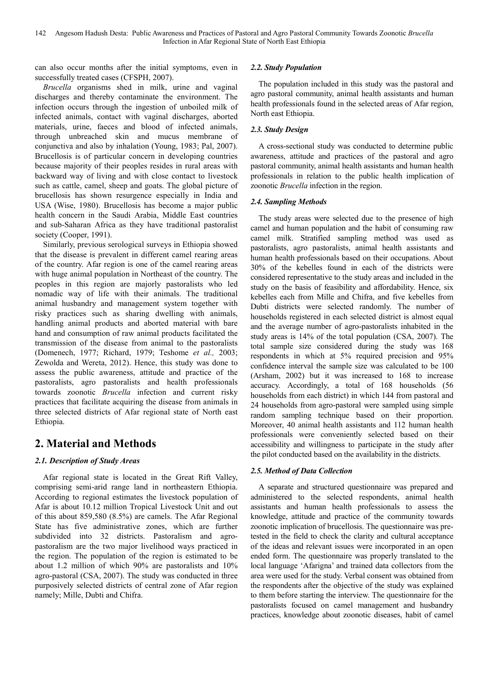can also occur months after the initial symptoms, even in successfully treated cases (CFSPH, 2007).

*Brucella* organisms shed in milk, urine and vaginal discharges and thereby contaminate the environment. The infection occurs through the ingestion of unboiled milk of infected animals, contact with vaginal discharges, aborted materials, urine, faeces and blood of infected animals, through unbreached skin and mucus membrane of conjunctiva and also by inhalation (Young, 1983; Pal, 2007). Brucellosis is of particular concern in developing countries because majority of their peoples resides in rural areas with backward way of living and with close contact to livestock such as cattle, camel, sheep and goats. The global picture of brucellosis has shown resurgence especially in India and USA (Wise, 1980). Brucellosis has become a major public health concern in the Saudi Arabia, Middle East countries and sub-Saharan Africa as they have traditional pastoralist society (Cooper, 1991).

Similarly, previous serological surveys in Ethiopia showed that the disease is prevalent in different camel rearing areas of the country. Afar region is one of the camel rearing areas with huge animal population in Northeast of the country. The peoples in this region are majorly pastoralists who led nomadic way of life with their animals. The traditional animal husbandry and management system together with risky practices such as sharing dwelling with animals, handling animal products and aborted material with bare hand and consumption of raw animal products facilitated the transmission of the disease from animal to the pastoralists (Domenech, 1977; Richard, 1979; Teshome *et al.,* 2003; Zewolda and Wereta, 2012). Hence, this study was done to assess the public awareness, attitude and practice of the pastoralists, agro pastoralists and health professionals towards zoonotic *Brucella* infection and current risky practices that facilitate acquiring the disease from animals in three selected districts of Afar regional state of North east Ethiopia.

# **2. Material and Methods**

## *2.1. Description of Study Areas*

Afar regional state is located in the Great Rift Valley, comprising semi-arid range land in northeastern Ethiopia. According to regional estimates the livestock population of Afar is about 10.12 million Tropical Livestock Unit and out of this about 859,580 (8.5%) are camels. The Afar Regional State has five administrative zones, which are further subdivided into 32 districts. Pastoralism and agropastoralism are the two major livelihood ways practiced in the region. The population of the region is estimated to be about 1.2 million of which 90% are pastoralists and 10% agro-pastoral (CSA, 2007). The study was conducted in three purposively selected districts of central zone of Afar region namely; Mille, Dubti and Chifra.

## *2.2. Study Population*

The population included in this study was the pastoral and agro pastoral community, animal health assistants and human health professionals found in the selected areas of Afar region, North east Ethiopia.

## *2.3. Study Design*

A cross-sectional study was conducted to determine public awareness, attitude and practices of the pastoral and agro pastoral community, animal health assistants and human health professionals in relation to the public health implication of zoonotic *Brucella* infection in the region.

## *2.4. Sampling Methods*

The study areas were selected due to the presence of high camel and human population and the habit of consuming raw camel milk. Stratified sampling method was used as pastoralists, agro pastoralists, animal health assistants and human health professionals based on their occupations. About 30% of the kebelles found in each of the districts were considered representative to the study areas and included in the study on the basis of feasibility and affordability. Hence, six kebelles each from Mille and Chifra, and five kebelles from Dubti districts were selected randomly. The number of households registered in each selected district is almost equal and the average number of agro-pastoralists inhabited in the study areas is 14% of the total population (CSA, 2007). The total sample size considered during the study was 168 respondents in which at 5% required precision and 95% confidence interval the sample size was calculated to be 100 (Arsham, 2002) but it was increased to 168 to increase accuracy. Accordingly, a total of 168 households (56 households from each district) in which 144 from pastoral and 24 households from agro-pastoral were sampled using simple random sampling technique based on their proportion. Moreover, 40 animal health assistants and 112 human health professionals were conveniently selected based on their accessibility and willingness to participate in the study after the pilot conducted based on the availability in the districts.

## *2.5. Method of Data Collection*

A separate and structured questionnaire was prepared and administered to the selected respondents, animal health assistants and human health professionals to assess the knowledge, attitude and practice of the community towards zoonotic implication of brucellosis. The questionnaire was pretested in the field to check the clarity and cultural acceptance of the ideas and relevant issues were incorporated in an open ended form. The questionnaire was properly translated to the local language 'Afarigna' and trained data collectors from the area were used for the study. Verbal consent was obtained from the respondents after the objective of the study was explained to them before starting the interview. The questionnaire for the pastoralists focused on camel management and husbandry practices, knowledge about zoonotic diseases, habit of camel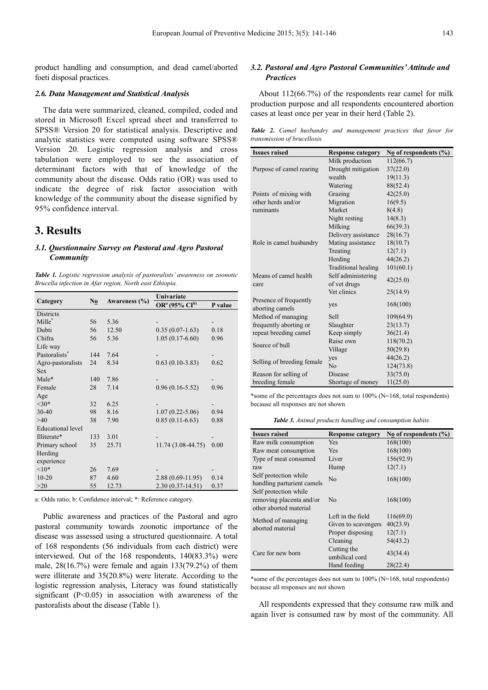product handling and consumption, and dead camel/aborted foeti disposal practices.

#### *2.6. Data Management and Statistical Analysis*

The data were summarized, cleaned, compiled, coded and stored in Microsoft Excel spread sheet and transferred to SPSS® Version 20 for statistical analysis. Descriptive and analytic statistics were computed using software SPSS® Version 20. Logistic regression analysis and cross tabulation were employed to see the association of determinant factors with that of knowledge of the community about the disease. Odds ratio (OR) was used to indicate the degree of risk factor association with knowledge of the community about the disease signified by 95% confidence interval.

## **3. Results**

#### *3.1. Questionnaire Survey on Pastoral and Agro Pastoral Community*

*Table 1. Logistic regression analysis of pastoralists' awareness on zoonotic Brucella infection in Afar region, North east Ethiopia.* 

|                           | No  | Awareness $(\% )$ | Univariate                            |         |
|---------------------------|-----|-------------------|---------------------------------------|---------|
| Category                  |     |                   | OR <sup>a</sup> (95% CI <sup>b)</sup> | P value |
| <b>Districts</b>          |     |                   |                                       |         |
| Mille <sup>*</sup>        | 56  | 5.36              |                                       |         |
| Dubti                     | 56  | 12.50             | $0.35(0.07-1.63)$                     | 0.18    |
| Chifra                    | 56  | 5.36              | $1.05(0.17-6.60)$                     | 0.96    |
| Life way                  |     |                   |                                       |         |
| Pastoralists <sup>*</sup> | 144 | 7.64              |                                       |         |
| Agro-pastoralists         | 24  | 8.34              | $0.63(0.10-3.83)$                     | 0.62    |
| <b>Sex</b>                |     |                   |                                       |         |
| Male*                     | 140 | 7.86              |                                       |         |
| Female                    | 28  | 7.14              | $0.96(0.16 - 5.52)$                   | 0.96    |
| Age                       |     |                   |                                       |         |
| $<30*$                    | 32  | 6.25              |                                       |         |
| $30 - 40$                 | 98  | 8.16              | $1.07(0.22 - 5.06)$                   | 0.94    |
| >40                       | 38  | 7.90              | $0.85(0.11-6.63)$                     | 0.88    |
| Educational level         |     |                   |                                       |         |
| Illiterate*               | 133 | 3.01              |                                       |         |
| Primary school            | 35  | 25.71             | 11.74 (3.08-44.75)                    | 0.00    |
| Herding                   |     |                   |                                       |         |
| experience                |     |                   |                                       |         |
| $10*$                     | 26  | 7.69              |                                       |         |
| $10 - 20$                 | 87  | 4.60              | $2.88(0.69 - 11.95)$                  | 0.14    |
| >20                       | 55  | 12.73             | $2.30(0.37-14.51)$                    | 0.37    |

a: Odds ratio; b: Confidence interval; \*: Reference category.

Public awareness and practices of the Pastoral and agro pastoral community towards zoonotic importance of the disease was assessed using a structured questionnaire. A total of 168 respondents (56 individuals from each district) were interviewed. Out of the 168 respondents, 140(83.3%) were male, 28(16.7%) were female and again 133(79.2%) of them were illiterate and 35(20.8%) were literate. According to the logistic regression analysis, Literacy was found statistically significant  $(P<0.05)$  in association with awareness of the pastoralists about the disease (Table 1).

#### *3.2. Pastoral and Agro Pastoral Communities' Attitude and Practices*

About 112(66.7%) of the respondents rear camel for milk production purpose and all respondents encountered abortion cases at least once per year in their herd (Table 2).

*Table 2. Camel husbandry and management practices that favor for transmission of brucellosis.* 

| <b>Issues raised</b>       | <b>Response category</b> | $N_0$ of respondents $(\%)$ |
|----------------------------|--------------------------|-----------------------------|
|                            | Milk production          | 112(66.7)                   |
| Purpose of camel rearing   | Drought mitigation       | 37(22.0)                    |
|                            | wealth                   | 19(11.3)                    |
|                            | Watering                 | 88(52.4)                    |
| Points of mixing with      | Grazing                  | 42(25.0)                    |
| other herds and/or         | Migration                | 16(9.5)                     |
| ruminants                  | Market                   | 8(4.8)                      |
|                            | Night resting            | 14(8.3)                     |
|                            | Milking                  | 66(39.3)                    |
|                            | Delivery assistance      | 28(16.7)                    |
| Role in camel husbandry    | Mating assistance        | 18(10.7)                    |
|                            | Treating                 | 12(7.1)                     |
|                            | Herding                  | 44(26.2)                    |
|                            | Traditional healing      | 101(60.1)                   |
| Means of camel health      | Self administering       | 42(25.0)                    |
| care                       | of vet drugs             |                             |
|                            | Vet clinics              | 25(14.9)                    |
| Presence of frequently     |                          | 168(100)                    |
| aborting camels            | yes                      |                             |
| Method of managing         | Sell                     | 109(64.9)                   |
| frequently aborting or     | Slaughter                | 23(13.7)                    |
| repeat breeding camel      | Keep simply              | 36(21.4)                    |
| Source of bull             | Raise own                | 118(70.2)                   |
|                            | Village                  | 50(29.8)                    |
| Selling of breeding female | yes                      | 44(26.2)                    |
|                            | N <sub>o</sub>           | 124(73.8)                   |
| Reason for selling of      | Disease                  | 33(75.0)                    |
| breeding female            | Shortage of money        | 11(25.0)                    |

\*some of the percentages does not sum to 100% (N=168, total respondents) because all responses are not shown

*Table 3. Animal products handling and consumption habits.* 

| <b>Issues raised</b>                                                        | <b>Response category</b>                | No of respondents $(\% )$ |
|-----------------------------------------------------------------------------|-----------------------------------------|---------------------------|
| Raw milk consumption                                                        | Yes                                     | 168(100)                  |
| Raw meat consumption                                                        | Yes                                     | 168(100)                  |
| Type of meat consumed                                                       | Liver                                   | 156(92.9)                 |
| raw                                                                         | Hump                                    | 12(7.1)                   |
| Self protection while<br>handling parturient camels                         | No                                      | 168(100)                  |
| Self protection while<br>removing placenta and/or<br>other aborted material | No                                      | 168(100)                  |
| Method of managing                                                          | Left in the field                       | 116(69.0)                 |
| aborted material                                                            | Given to scavengers<br>Proper disposing | 40(23.9)<br>12(7.1)       |
|                                                                             | Cleaning                                | 54(43.2)                  |
| Care for new born                                                           | Cutting the<br>umbilical cord           | 43(34.4)                  |
|                                                                             | Hand feeding                            | 28(22.4)                  |

\*some of the percentages does not sum to 100% (N=168, total respondents) because all responses are not shown

All respondents expressed that they consume raw milk and again liver is consumed raw by most of the community. All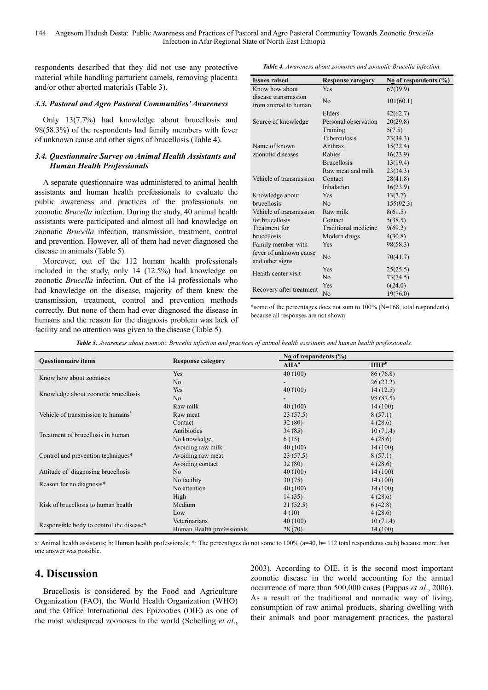144 Angesom Hadush Desta: Public Awareness and Practices of Pastoral and Agro Pastoral Community Towards Zoonotic *Brucella* Infection in Afar Regional State of North East Ethiopia

respondents described that they did not use any protective material while handling parturient camels, removing placenta and/or other aborted materials (Table 3).

#### *3.3. Pastoral and Agro Pastoral Communities' Awareness*

Only 13(7.7%) had knowledge about brucellosis and 98(58.3%) of the respondents had family members with fever of unknown cause and other signs of brucellosis (Table 4).

#### *3.4. Questionnaire Survey on Animal Health Assistants and Human Health Professionals*

A separate questionnaire was administered to animal health assistants and human health professionals to evaluate the public awareness and practices of the professionals on zoonotic *Brucella* infection. During the study, 40 animal health assistants were participated and almost all had knowledge on zoonotic *Brucella* infection, transmission, treatment, control and prevention. However, all of them had never diagnosed the disease in animals (Table 5).

Moreover, out of the 112 human health professionals included in the study, only 14 (12.5%) had knowledge on zoonotic *Brucella* infection. Out of the 14 professionals who had knowledge on the disease, majority of them knew the transmission, treatment, control and prevention methods correctly. But none of them had ever diagnosed the disease in humans and the reason for the diagnosis problem was lack of facility and no attention was given to the disease (Table 5).

*Table 4. Awareness about zoonoses and zoonotic Brucella infection.* 

| <b>Issues raised</b>                         | <b>Response category</b> | $N_0$ of respondents $(\%)$ |
|----------------------------------------------|--------------------------|-----------------------------|
| Know how about                               | Yes                      | 67(39.9)                    |
| disease transmission<br>from animal to human | N <sub>o</sub>           | 101(60.1)                   |
|                                              | Elders                   | 42(62.7)                    |
| Source of knowledge                          | Personal observation     | 20(29.8)                    |
|                                              | Training                 | 5(7.5)                      |
|                                              | Tuberculosis             | 23(34.3)                    |
| Name of known                                | Anthrax                  | 15(22.4)                    |
| zoonotic diseases                            | Rabies                   | 16(23.9)                    |
|                                              | <b>Brucellosis</b>       | 13(19.4)                    |
|                                              | Raw meat and milk        | 23(34.3)                    |
| Vehicle of transmission                      | Contact                  | 28(41.8)                    |
|                                              | Inhalation               | 16(23.9)                    |
| Knowledge about                              | <b>Yes</b>               | 13(7.7)                     |
| brucellosis                                  | N <sub>o</sub>           | 155(92.3)                   |
| Vehicle of transmission                      | Raw milk                 | 8(61.5)                     |
| for brucellosis                              | Contact                  | 5(38.5)                     |
| Treatment for                                | Traditional medicine     | 9(69.2)                     |
| brucellosis                                  | Modern drugs             | 4(30.8)                     |
| Family member with                           | Yes                      | 98(58.3)                    |
| fever of unknown cause<br>and other signs    | No                       | 70(41.7)                    |
| Health center visit                          | Yes                      | 25(25.5)                    |
|                                              | N <sub>o</sub>           | 73(74.5)                    |
|                                              | Yes                      | 6(24.0)                     |
| Recovery after treatment                     | No                       | 19(76.0)                    |

\*some of the percentages does not sum to 100% (N=168, total respondents) because all responses are not shown

|  |  |  |  | Table 5. Awareness about zoonotic Brucella infection and practices of animal health assistants and human health professionals. |  |
|--|--|--|--|--------------------------------------------------------------------------------------------------------------------------------|--|
|--|--|--|--|--------------------------------------------------------------------------------------------------------------------------------|--|

| <b>Ouestionnaire items</b>                     | <b>Response category</b>   | No of respondents $(\% )$ |                  |  |
|------------------------------------------------|----------------------------|---------------------------|------------------|--|
|                                                |                            | AHA <sup>a</sup>          | HHP <sup>b</sup> |  |
| Know how about zoonoses                        | Yes                        | 40(100)                   | 86 (76.8)        |  |
|                                                | N <sub>o</sub>             |                           | 26(23.2)         |  |
| Knowledge about zoonotic brucellosis           | Yes                        | 40(100)                   | 14(12.5)         |  |
|                                                | N <sub>o</sub>             |                           | 98 (87.5)        |  |
|                                                | Raw milk                   | 40(100)                   | 14(100)          |  |
| Vehicle of transmission to humans <sup>*</sup> | Raw meat                   | 23(57.5)                  | 8(57.1)          |  |
|                                                | Contact                    | 32(80)                    | 4(28.6)          |  |
| Treatment of brucellosis in human              | Antibiotics                | 34(85)                    | 10(71.4)         |  |
|                                                | No knowledge               | 6(15)                     | 4(28.6)          |  |
|                                                | Avoiding raw milk          | 40(100)                   | 14(100)          |  |
| Control and prevention techniques*             | Avoiding raw meat          | 23(57.5)                  | 8(57.1)          |  |
|                                                | Avoiding contact           | 32(80)                    | 4(28.6)          |  |
| Attitude of diagnosing brucellosis             | N <sub>o</sub>             | 40(100)                   | 14(100)          |  |
|                                                | No facility                | 30(75)                    | 14(100)          |  |
| Reason for no diagnosis*                       | No attention               | 40(100)                   | 14(100)          |  |
|                                                | High                       | 14(35)                    | 4(28.6)          |  |
| Risk of brucellosis to human health            | Medium                     | 21(52.5)                  | 6(42.8)          |  |
|                                                | Low                        | 4(10)                     | 4(28.6)          |  |
|                                                | Veterinarians              | 40(100)                   | 10(71.4)         |  |
| Responsible body to control the disease*       | Human Health professionals | 28(70)                    | 14(100)          |  |

a: Animal health assistants; b: Human health professionals; \*: The percentages do not some to  $100\%$  ( $a=40$ ,  $b=112$  total respondents each) because more than one answer was possible.

# **4. Discussion**

Brucellosis is considered by the Food and Agriculture Organization (FAO), the World Health Organization (WHO) and the Office International des Epizooties (OIE) as one of the most widespread zoonoses in the world (Schelling *et al*.,

2003). According to OIE, it is the second most important zoonotic disease in the world accounting for the annual occurrence of more than 500,000 cases (Pappas *et al*., 2006). As a result of the traditional and nomadic way of living, consumption of raw animal products, sharing dwelling with their animals and poor management practices, the pastoral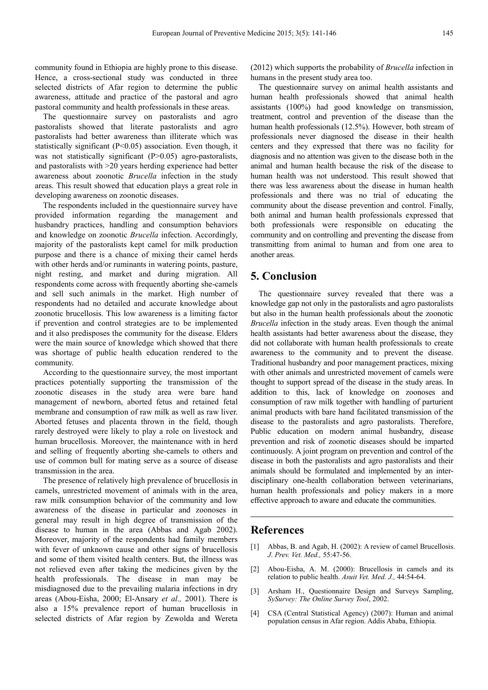community found in Ethiopia are highly prone to this disease. Hence, a cross-sectional study was conducted in three selected districts of Afar region to determine the public awareness, attitude and practice of the pastoral and agro pastoral community and health professionals in these areas.

The questionnaire survey on pastoralists and agro pastoralists showed that literate pastoralists and agro pastoralists had better awareness than illiterate which was statistically significant (P<0.05) association. Even though, it was not statistically significant (P>0.05) agro-pastoralists, and pastoralists with >20 years herding experience had better awareness about zoonotic *Brucella* infection in the study areas. This result showed that education plays a great role in developing awareness on zoonotic diseases.

The respondents included in the questionnaire survey have provided information regarding the management and husbandry practices, handling and consumption behaviors and knowledge on zoonotic *Brucella* infection. Accordingly, majority of the pastoralists kept camel for milk production purpose and there is a chance of mixing their camel herds with other herds and/or ruminants in watering points, pasture, night resting, and market and during migration. All respondents come across with frequently aborting she-camels and sell such animals in the market. High number of respondents had no detailed and accurate knowledge about zoonotic brucellosis. This low awareness is a limiting factor if prevention and control strategies are to be implemented and it also predisposes the community for the disease. Elders were the main source of knowledge which showed that there was shortage of public health education rendered to the community.

According to the questionnaire survey, the most important practices potentially supporting the transmission of the zoonotic diseases in the study area were bare hand management of newborn, aborted fetus and retained fetal membrane and consumption of raw milk as well as raw liver. Aborted fetuses and placenta thrown in the field, though rarely destroyed were likely to play a role on livestock and human brucellosis. Moreover, the maintenance with in herd and selling of frequently aborting she-camels to others and use of common bull for mating serve as a source of disease transmission in the area.

The presence of relatively high prevalence of brucellosis in camels, unrestricted movement of animals with in the area, raw milk consumption behavior of the community and low awareness of the disease in particular and zoonoses in general may result in high degree of transmission of the disease to human in the area (Abbas and Agab 2002). Moreover, majority of the respondents had family members with fever of unknown cause and other signs of brucellosis and some of them visited health centers. But, the illness was not relieved even after taking the medicines given by the health professionals. The disease in man may be misdiagnosed due to the prevailing malaria infections in dry areas (Abou-Eisha, 2000; El-Ansary *et al.,* 2001). There is also a 15% prevalence report of human brucellosis in selected districts of Afar region by Zewolda and Wereta

(2012) which supports the probability of *Brucella* infection in humans in the present study area too.

The questionnaire survey on animal health assistants and human health professionals showed that animal health assistants (100%) had good knowledge on transmission, treatment, control and prevention of the disease than the human health professionals (12.5%). However, both stream of professionals never diagnosed the disease in their health centers and they expressed that there was no facility for diagnosis and no attention was given to the disease both in the animal and human health because the risk of the disease to human health was not understood. This result showed that there was less awareness about the disease in human health professionals and there was no trial of educating the community about the disease prevention and control. Finally, both animal and human health professionals expressed that both professionals were responsible on educating the community and on controlling and preventing the disease from transmitting from animal to human and from one area to another areas.

## **5. Conclusion**

The questionnaire survey revealed that there was a knowledge gap not only in the pastoralists and agro pastoralists but also in the human health professionals about the zoonotic *Brucella* infection in the study areas. Even though the animal health assistants had better awareness about the disease, they did not collaborate with human health professionals to create awareness to the community and to prevent the disease. Traditional husbandry and poor management practices, mixing with other animals and unrestricted movement of camels were thought to support spread of the disease in the study areas. In addition to this, lack of knowledge on zoonoses and consumption of raw milk together with handling of parturient animal products with bare hand facilitated transmission of the disease to the pastoralists and agro pastoralists. Therefore, Public education on modern animal husbandry, disease prevention and risk of zoonotic diseases should be imparted continuously. A joint program on prevention and control of the disease in both the pastoralists and agro pastoralists and their animals should be formulated and implemented by an interdisciplinary one-health collaboration between veterinarians, human health professionals and policy makers in a more effective approach to aware and educate the communities.

## **References**

- [1] Abbas, B. and Agab, H. (2002): A review of camel Brucellosis. *J*. *Prev. Vet. Med.,* 55:47-56.
- [2] Abou-Eisha, A. M. (2000): Brucellosis in camels and its relation to public health. *Asuit Vet. Med. J.,* 44:54-64.
- [3] Arsham H., Questionnaire Design and Surveys Sampling, *SySurvey: The Online Survey Tool*, 2002.
- [4] CSA (Central Statistical Agency) (2007): Human and animal population census in Afar region. Addis Ababa, Ethiopia.